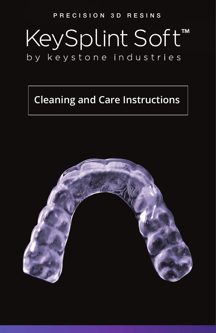#### PRECISION 3D RESINS

# KeySplint Soft™ by keystone industries

## **Cleaning and Care Instructions**